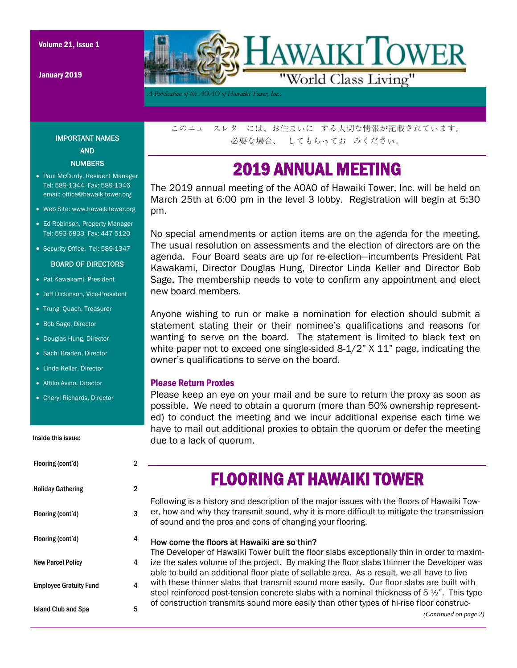January 2019



*A Publication of the AOAO of Hawaiki Tower, Inc..* 

IMPORTANT NAMES AND **NUMBERS** 

- Paul McCurdy, Resident Manager Tel: 589-1344 Fax: 589-1346 email: office@hawaikitower.org
- Web Site: www.hawaikitower.org
- Ed Robinson, Property Manager Tel: 593-6833 Fax: 447-5120
- Security Office: Tel: 589-1347

#### BOARD OF DIRECTORS

- Pat Kawakami, President
- Jeff Dickinson, Vice-President
- Trung Quach, Treasurer
- Bob Sage, Director
- Douglas Hung, Director
- Sachi Braden, Director
- Linda Keller, Director
- Attilio Avino, Director
- Cheryl Richards, Director

#### Inside this issue:

| Flooring (cont'd)             | $\overline{2}$ |
|-------------------------------|----------------|
| <b>Holiday Gathering</b>      | 2              |
| Flooring (cont'd)             | 3              |
| Flooring (cont'd)             | 4              |
| <b>New Parcel Policy</b>      | 4              |
| <b>Employee Gratuity Fund</b> | 4              |
| <b>Island Club and Spa</b>    | 5              |

このニュ スレタ には、お住まいに する大切な情報が記載されています。 必要な場合、 してもらってお みください。

### 2019 ANNUAL MEETING

The 2019 annual meeting of the AOAO of Hawaiki Tower, Inc. will be held on March 25th at 6:00 pm in the level 3 lobby. Registration will begin at 5:30 pm.

No special amendments or action items are on the agenda for the meeting. The usual resolution on assessments and the election of directors are on the agenda. Four Board seats are up for re-election—incumbents President Pat Kawakami, Director Douglas Hung, Director Linda Keller and Director Bob Sage. The membership needs to vote to confirm any appointment and elect new board members.

Anyone wishing to run or make a nomination for election should submit a statement stating their or their nominee's qualifications and reasons for wanting to serve on the board. The statement is limited to black text on white paper not to exceed one single-sided 8-1/2" X 11" page, indicating the owner's qualifications to serve on the board.

#### Please Return Proxies

Please keep an eye on your mail and be sure to return the proxy as soon as possible. We need to obtain a quorum (more than 50% ownership represented) to conduct the meeting and we incur additional expense each time we have to mail out additional proxies to obtain the quorum or defer the meeting due to a lack of quorum.

### FLOORING AT HAWAIKI TOWER

Following is a history and description of the major issues with the floors of Hawaiki Tower, how and why they transmit sound, why it is more difficult to mitigate the transmission of sound and the pros and cons of changing your flooring.

### How come the floors at Hawaiki are so thin?

The Developer of Hawaiki Tower built the floor slabs exceptionally thin in order to maximize the sales volume of the project. By making the floor slabs thinner the Developer was able to build an additional floor plate of sellable area. As a result, we all have to live with these thinner slabs that transmit sound more easily. Our floor slabs are built with steel reinforced post-tension concrete slabs with a nominal thickness of  $5\frac{1}{2}$ ". This type of construction transmits sound more easily than other types of hi-rise floor construc-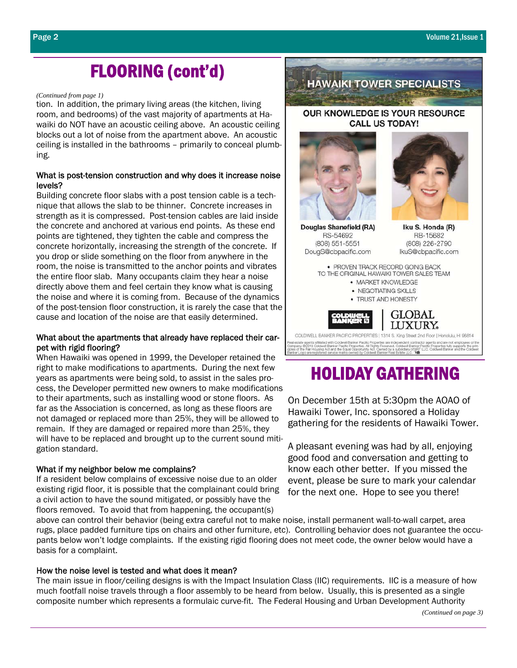# FLOORING (cont'd)

#### *(Continued from page 1)*

tion. In addition, the primary living areas (the kitchen, living room, and bedrooms) of the vast majority of apartments at Hawaiki do NOT have an acoustic ceiling above. An acoustic ceiling blocks out a lot of noise from the apartment above. An acoustic ceiling is installed in the bathrooms – primarily to conceal plumbing.

#### What is post-tension construction and why does it increase noise levels?

Building concrete floor slabs with a post tension cable is a technique that allows the slab to be thinner. Concrete increases in strength as it is compressed. Post-tension cables are laid inside the concrete and anchored at various end points. As these end points are tightened, they tighten the cable and compress the concrete horizontally, increasing the strength of the concrete. If you drop or slide something on the floor from anywhere in the room, the noise is transmitted to the anchor points and vibrates the entire floor slab. Many occupants claim they hear a noise directly above them and feel certain they know what is causing the noise and where it is coming from. Because of the dynamics of the post-tension floor construction, it is rarely the case that the cause and location of the noise are that easily determined.

#### What about the apartments that already have replaced their carpet with rigid flooring?

When Hawaiki was opened in 1999, the Developer retained the right to make modifications to apartments. During the next few years as apartments were being sold, to assist in the sales process, the Developer permitted new owners to make modifications to their apartments, such as installing wood or stone floors. As far as the Association is concerned, as long as these floors are not damaged or replaced more than 25%, they will be allowed to remain. If they are damaged or repaired more than 25%, they will have to be replaced and brought up to the current sound mitigation standard.

#### What if my neighbor below me complains?

If a resident below complains of excessive noise due to an older existing rigid floor, it is possible that the complainant could bring a civil action to have the sound mitigated, or possibly have the floors removed. To avoid that from happening, the occupant(s)

above can control their behavior (being extra careful not to make noise, install permanent wall-to-wall carpet, area rugs, place padded furniture tips on chairs and other furniture, etc). Controlling behavior does not guarantee the occupants below won't lodge complaints. If the existing rigid flooring does not meet code, the owner below would have a basis for a complaint.

#### How the noise level is tested and what does it mean?

The main issue in floor/ceiling designs is with the Impact Insulation Class (IIC) requirements. IIC is a measure of how much footfall noise travels through a floor assembly to be heard from below. Usually, this is presented as a single composite number which represents a formulaic curve-fit. The Federal Housing and Urban Development Authority



**HAWAIKI TOWER SPECIALISTS** 

Iku S. Honda (R) RB-15682 (808) 226-2790 IkuS@cbpacific.com

• PROVEN TRACK RECORD GOING BACK TO THE ORIGINAL HAWAIKI TOWER SALES TEAM • MARKET KNOWLEDGE • NEGOTIATING SKILLS • TRUST AND HONESTY **GLOBAL** LUXURY. COLDWELL BANKER PACIFIC PROPERTIES | 1314 S. King Street 2nd Floor | Honolulu, HI 96814 .<br>state agents affiliated with Coldwell Banker Pacific Properties are inde<br>aany. (22018 Coldwell Banker Pacific Properties: All Rights Reserved. 4<br>of the Fair Housing Act and the Equal Opportunity Act. Owned by a s cor agents and are not employees on the<br>Pacific Properties fully supports the prin<br>LLC. Coldwell Banker and the Coldwe

RS-54692

(808) 551-5551

DougS@cbpacific.com

### HOLIDAY GATHERING

On December 15th at 5:30pm the AOAO of Hawaiki Tower, Inc. sponsored a Holiday gathering for the residents of Hawaiki Tower.

A pleasant evening was had by all, enjoying good food and conversation and getting to know each other better. If you missed the event, please be sure to mark your calendar for the next one. Hope to see you there!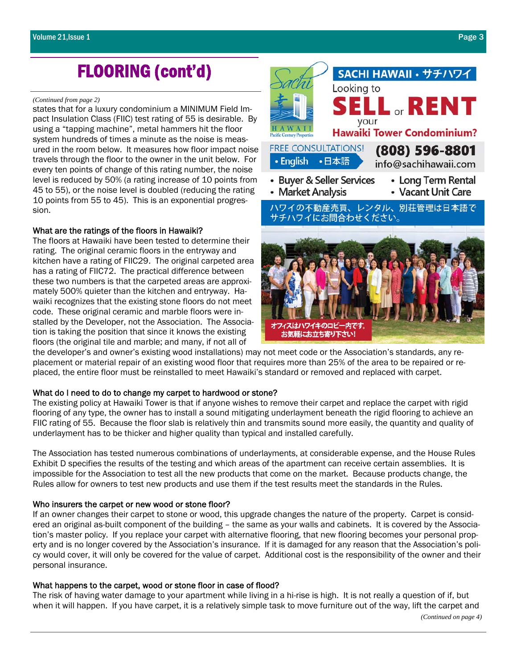# FLOORING (cont'd)

#### *(Continued from page 2)*

states that for a luxury condominium a MINIMUM Field Impact Insulation Class (FIIC) test rating of 55 is desirable. By using a "tapping machine", metal hammers hit the floor system hundreds of times a minute as the noise is measured in the room below. It measures how floor impact noise travels through the floor to the owner in the unit below. For every ten points of change of this rating number, the noise level is reduced by 50% (a rating increase of 10 points from 45 to 55), or the noise level is doubled (reducing the rating 10 points from 55 to 45). This is an exponential progression.

#### What are the ratings of the floors in Hawaiki?

The floors at Hawaiki have been tested to determine their rating. The original ceramic floors in the entryway and kitchen have a rating of FIIC29. The original carpeted area has a rating of FIIC72. The practical difference between these two numbers is that the carpeted areas are approximately 500% quieter than the kitchen and entryway. Hawaiki recognizes that the existing stone floors do not meet code. These original ceramic and marble floors were installed by the Developer, not the Association. The Association is taking the position that since it knows the existing floors (the original tile and marble; and many, if not all of



the developer's and owner's existing wood installations) may not meet code or the Association's standards, any replacement or material repair of an existing wood floor that requires more than 25% of the area to be repaired or replaced, the entire floor must be reinstalled to meet Hawaiki's standard or removed and replaced with carpet.

#### What do I need to do to change my carpet to hardwood or stone?

The existing policy at Hawaiki Tower is that if anyone wishes to remove their carpet and replace the carpet with rigid flooring of any type, the owner has to install a sound mitigating underlayment beneath the rigid flooring to achieve an FIIC rating of 55. Because the floor slab is relatively thin and transmits sound more easily, the quantity and quality of underlayment has to be thicker and higher quality than typical and installed carefully.

The Association has tested numerous combinations of underlayments, at considerable expense, and the House Rules Exhibit D specifies the results of the testing and which areas of the apartment can receive certain assemblies. It is impossible for the Association to test all the new products that come on the market. Because products change, the Rules allow for owners to test new products and use them if the test results meet the standards in the Rules.

#### Who insurers the carpet or new wood or stone floor?

If an owner changes their carpet to stone or wood, this upgrade changes the nature of the property. Carpet is considered an original as-built component of the building – the same as your walls and cabinets. It is covered by the Association's master policy. If you replace your carpet with alternative flooring, that new flooring becomes your personal property and is no longer covered by the Association's insurance. If it is damaged for any reason that the Association's policy would cover, it will only be covered for the value of carpet. Additional cost is the responsibility of the owner and their personal insurance.

#### What happens to the carpet, wood or stone floor in case of flood?

The risk of having water damage to your apartment while living in a hi-rise is high. It is not really a question of if, but when it will happen. If you have carpet, it is a relatively simple task to move furniture out of the way, lift the carpet and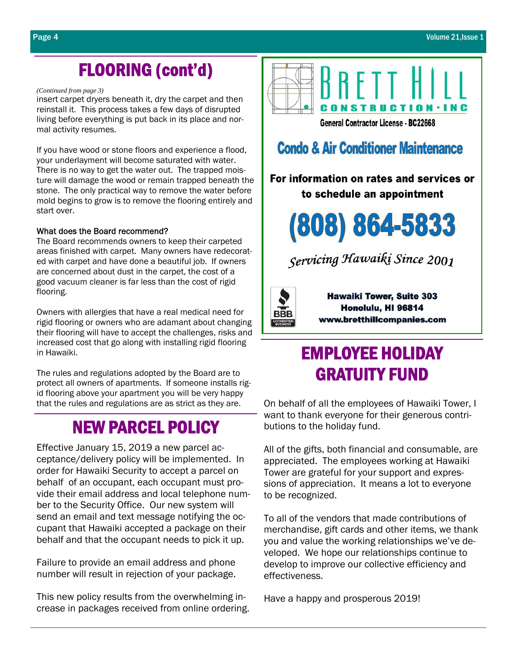## FLOORING (cont'd)

#### *(Continued from page 3)*

insert carpet dryers beneath it, dry the carpet and then reinstall it. This process takes a few days of disrupted living before everything is put back in its place and normal activity resumes.

If you have wood or stone floors and experience a flood, your underlayment will become saturated with water. There is no way to get the water out. The trapped moisture will damage the wood or remain trapped beneath the stone. The only practical way to remove the water before mold begins to grow is to remove the flooring entirely and start over.

#### What does the Board recommend?

The Board recommends owners to keep their carpeted areas finished with carpet. Many owners have redecorated with carpet and have done a beautiful job. If owners are concerned about dust in the carpet, the cost of a good vacuum cleaner is far less than the cost of rigid flooring.

Owners with allergies that have a real medical need for rigid flooring or owners who are adamant about changing their flooring will have to accept the challenges, risks and increased cost that go along with installing rigid flooring in Hawaiki.

The rules and regulations adopted by the Board are to protect all owners of apartments. If someone installs rigid flooring above your apartment you will be very happy that the rules and regulations are as strict as they are.

### NEW PARCEL POLICY

Effective January 15, 2019 a new parcel acceptance/delivery policy will be implemented. In order for Hawaiki Security to accept a parcel on behalf of an occupant, each occupant must provide their email address and local telephone number to the Security Office. Our new system will send an email and text message notifying the occupant that Hawaiki accepted a package on their behalf and that the occupant needs to pick it up.

Failure to provide an email address and phone number will result in rejection of your package.

This new policy results from the overwhelming increase in packages received from online ordering.



### **Condo & Air Conditioner Maintenance**

For information on rates and services or to schedule an appointment



Servicing Hawaiki Since 2001



**Hawaiki Tower, Suite 303** Honolulu, HI 96814 www.bretthillcompanies.com

# EMPLOYEE HOLIDAY GRATUITY FUND

On behalf of all the employees of Hawaiki Tower, I want to thank everyone for their generous contributions to the holiday fund.

All of the gifts, both financial and consumable, are appreciated. The employees working at Hawaiki Tower are grateful for your support and expressions of appreciation. It means a lot to everyone to be recognized.

To all of the vendors that made contributions of merchandise, gift cards and other items, we thank you and value the working relationships we've developed. We hope our relationships continue to develop to improve our collective efficiency and effectiveness.

Have a happy and prosperous 2019!